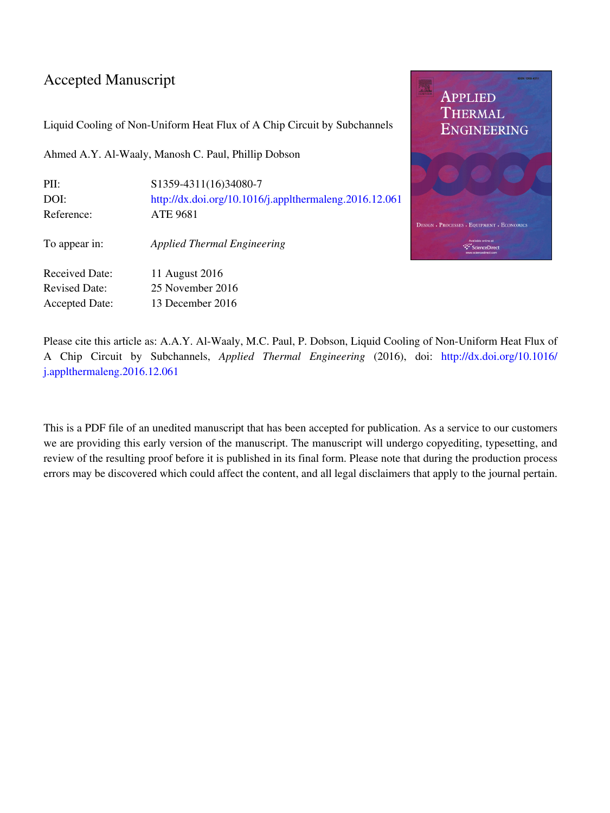## Accepted Manuscript

Liquid Cooling of Non-Uniform Heat Flux of A Chip Circuit by Subchannels

Ahmed A.Y. Al-Waaly, Manosh C. Paul, Phillip Dobson

| PII:                  | S1359-4311(16)34080-7                                  |
|-----------------------|--------------------------------------------------------|
| DOI:                  | http://dx.doi.org/10.1016/j.applthermaleng.2016.12.061 |
| Reference:            | <b>ATE 9681</b>                                        |
| To appear in:         | <b>Applied Thermal Engineering</b>                     |
| <b>Received Date:</b> | 11 August 2016                                         |
| <b>Revised Date:</b>  | 25 November 2016                                       |
| Accepted Date:        | 13 December 2016                                       |
|                       |                                                        |



Please cite this article as: A.A.Y. Al-Waaly, M.C. Paul, P. Dobson, Liquid Cooling of Non-Uniform Heat Flux of A Chip Circuit by Subchannels, Applied Thermal Engineering (2016), doi: [http://dx.doi.org/10.1016/](http://dx.doi.org/10.1016/j.applthermaleng.2016.12.061) [j.applthermaleng.2016.12.061](http://dx.doi.org/10.1016/j.applthermaleng.2016.12.061)

This is a PDF file of an unedited manuscript that has been accepted for publication. As a service to our customers we are providing this early version of the manuscript. The manuscript will undergo copyediting, typesetting, and review of the resulting proof before it is published in its final form. Please note that during the production process errors may be discovered which could affect the content, and all legal disclaimers that apply to the journal pertain.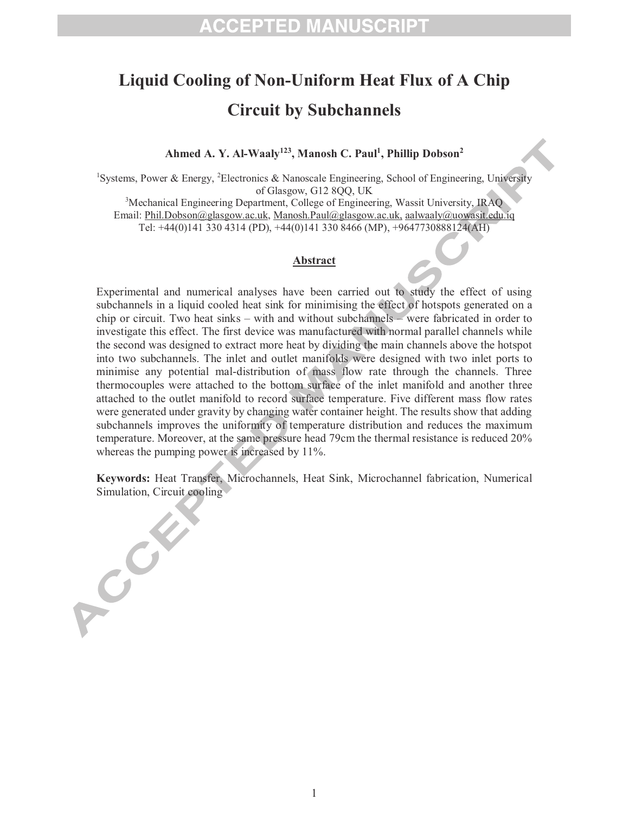## **Liquid Cooling of Non-Uniform Heat Flux of A Chip Circuit by Subchannels**

**Ahmed A. Y. Al-Waaly<sup>123</sup>, Manosh C. Paul<sup>1</sup> , Phillip Dobson<sup>2</sup>**

<sup>1</sup>Systems, Power & Energy, <sup>2</sup>Electronics & Nanoscale Engineering, School of Engineering, University of Glasgow, G12 8QQ, UK

<sup>3</sup>Mechanical Engineering Department, College of Engineering, Wassit University, IRAQ Email: Phil.Dobson@glasgow.ac.uk, Manosh.Paul@glasgow.ac.uk, aalwaaly@uowasit.edu.iq Tel: +44(0)141 330 4314 (PD), +44(0)141 330 8466 (MP), +9647730888124(AH)

## **Abstract**

Experimental and numerical analyses have been carried out to study the effect of using subchannels in a liquid cooled heat sink for minimising the effect of hotspots generated on a chip or circuit. Two heat sinks – with and without subchannels – were fabricated in order to investigate this effect. The first device was manufactured with normal parallel channels while the second was designed to extract more heat by dividing the main channels above the hotspot into two subchannels. The inlet and outlet manifolds were designed with two inlet ports to minimise any potential mal-distribution of mass flow rate through the channels. Three thermocouples were attached to the bottom surface of the inlet manifold and another three attached to the outlet manifold to record surface temperature. Five different mass flow rates were generated under gravity by changing water container height. The results show that adding subchannels improves the uniformity of temperature distribution and reduces the maximum temperature. Moreover, at the same pressure head 79cm the thermal resistance is reduced 20% whereas the pumping power is increased by 11%.

**Keywords:** Heat Transfer, Microchannels, Heat Sink, Microchannel fabrication, Numerical Simulation, Circuit cooling

A College